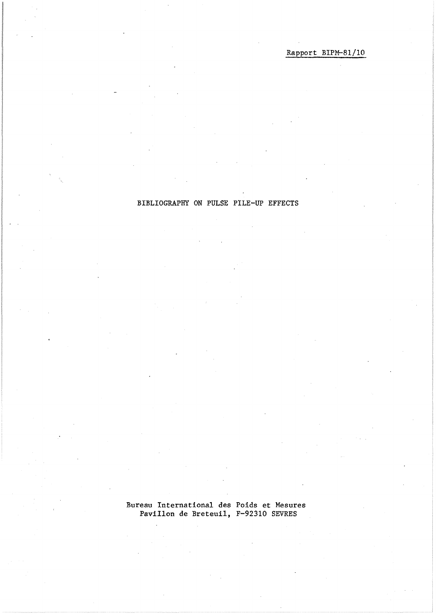## BIBLIOGRAPHY ON PULSE PILE-UP EFFECTS

Bureau International des Poids et Mesures PavilIon de Breteuil, F-92310 SEVRES

 $\mathbf{r}$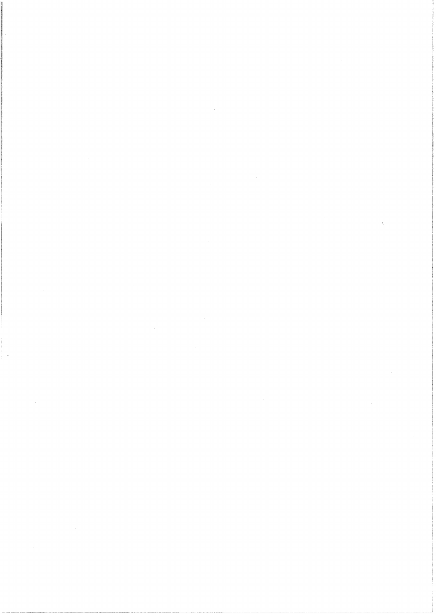$\label{eq:V} \nabla_{\mathbf{r}} \mathbf{r} = \nabla_{\mathbf{r}} \mathbf{r} + \nabla_{\mathbf{r}} \mathbf{r}$  $\label{eq:2.1} \frac{1}{\sqrt{2\pi}}\sum_{i=1}^n\frac{1}{\sqrt{2\pi}}\sum_{i=1}^n\frac{1}{\sqrt{2\pi}}\sum_{i=1}^n\frac{1}{\sqrt{2\pi}}\sum_{i=1}^n\frac{1}{\sqrt{2\pi}}\sum_{i=1}^n\frac{1}{\sqrt{2\pi}}\sum_{i=1}^n\frac{1}{\sqrt{2\pi}}\sum_{i=1}^n\frac{1}{\sqrt{2\pi}}\sum_{i=1}^n\frac{1}{\sqrt{2\pi}}\sum_{i=1}^n\frac{1}{\sqrt{2\pi}}\sum_{i=1}^n\$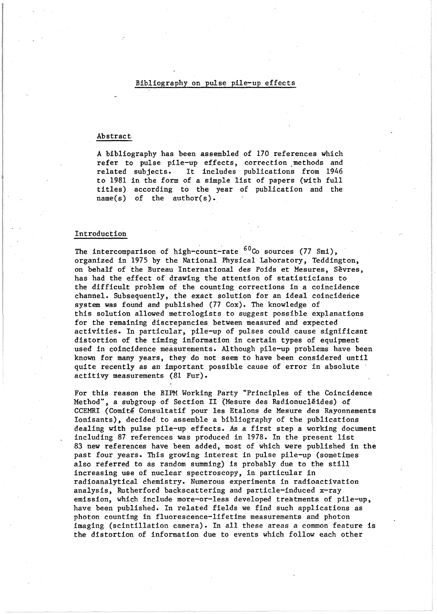#### Bibliography on pulse pile-up effects

#### Abstract-

A bibliography has been assembled of 170 references which refer to pulse pile-up effects, correction \_methods and related subjects. It includes publications from 1946 to 1981 in the form of a simple list of papers (with full titles) according to the year of publication and the  $name(s)$  of the  $author(s)$ .

### Introduction

The intercomparison of high-count-rate  $^{60}$ Co sources (77 Smi), organized in 1975 by the National Physical Laboratory, Teddington, on behalf of the Bureau International des Poids et Mesures, Sevres, has had the effect of drawing the attention of statisticians to the difficult problem of the counting corrections in a coincidence channel. Subsequently, the exact solution for an ideal coincidence system was found and published (77 Cox). The knowledge of this solution allowed metrologists to suggest possible explanations for the remaining discrepancies between measured and expected activities. In particular, pile-up of pulses could cause significant distortion of the timing information in certain types of equipment used in coincidence measurements. Although pile-up problems have been known for many years, they do not seem to have been considered until quite recently as an important possible cause of error in absolute actitivy measurements (81 Fur).

For this reason the BIPM Working Party "Principles of the Coincidence Method", a subgroup of Section 11 (Mesure des Radionucleides) of CCEMRI (Comite Consultatif pour les Etalons de Mesure des Rayonnements Ionisants), decided to assemble a bibliography of the publications dealing with pulse pile-up effects. As a first step a working document including 87 references was produced in 1978. In the present list 83 new references have been added, most of which were published in the past four years. This growing interest in pulse pile-up (sometimes also referred to as random summing) is probably due to the still increasing use of nuclear spectroscopy, in particular in radioanalytical chemistry. Numerous experiments in radioactivation analysis, Rutherford backscattering and particle-induced x-ray emission, which include more-or-Iess developed treatments of pile-up, have been published. In related fields we find such applications as photon counting in fluorescence-lifetime measurements and photon imaging (scintillation camera). In all these areas a common feature is the distortion of information due to events which follow each other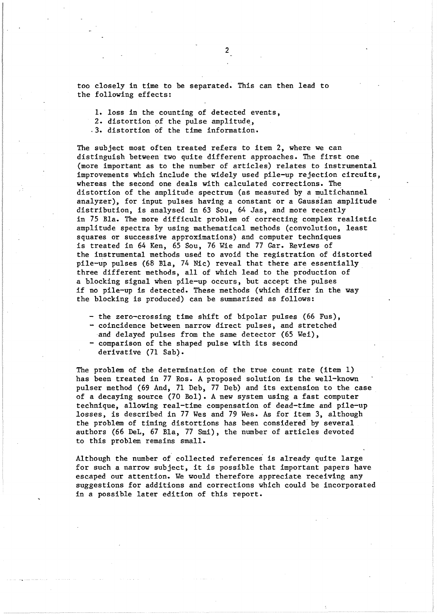too closely in time to be separated. This can then lead to the following effects:

1. loss in the counting of detected events,

2. distortion of the pulse amplitude,

.3. distortion of the time information.

The subject most often treated refers to item 2, where we can distinguish between two quite different approaches. The first one (more important as to the number of articles) relates to instrumental improvements which include the widely used pile-up rejection circuits, whereas the second one deals with calculated corrections. The distortion of the amplitude spectrum (as measured by a multichanne1 analyzer), for input pulses having a constant or a Gaussian amplitude distribution, is analysed in 63 Sou, 64 Jas, and more recently in 75 Bla. The more difficult problem of correcting complex realistic amplitude spectra by using mathematical methods (convolution, least squares or successive approximations) and computer techniques is treated in 64 Ken, 65 Sou, 76 Wie and 77 Gar. Reviews of the instrumental methods used to avoid the registration of distorted pile-up pulses (68 Bla, 74 Nic) reveal that there are essentially. three different methods, all of which lead to the production of a blocking signal when pile-up occurs, but accept the pulses if no pile-up is detected. These methods (which differ in the way the blocking is produced) can be summarized as follows:

- the zero-crossing time shift of bipolar pulses (66 Fus), coincidence between narrow direct pulses, and stretched and delayed pulses from the same detector (65 Wei), - comparison of the shaped pulse with its second derivative (71 Sab).

The problem of the determination of the true count rate (item 1) has been treated in 77 Ros. A proposed solution is the well-known pulser method (69 And, 71 Deb, 77 Deb) and its extension to the case of a decaying source (70 Ba1). A new system using a fast computer technique, allowing real-time compensation of dead-time and pile-up losses, is described in 77 Wes and 79 Wes. As for item 3, although the problem of timing distortions has been considered by several authors (66 DeL, 67 B1a, 77 Smi), the number of articles devoted to this problem remains small.

Although the number of collected references' is already quite large for such a narrow subject, it is possible that important papers have escaped our attention. We would therefore appreciate receiving any suggestions for additions and corrections which could be incorporated in a possible later edition of this report.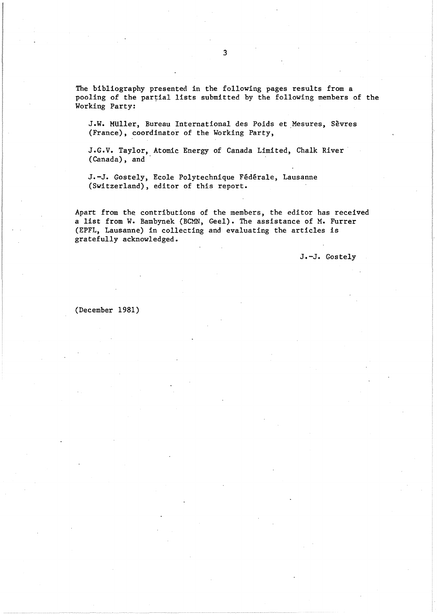The bibliography presented in the following pages results from a pooling of the partial lists submitted by the following members of the Working Party:

J.W. Müller, Bureau International des Poids et Mesures, Sèvres (France), coordinator of the Working Party,

J.G.V. Taylor, Atomic Energy of Canada Limited, Chalk River (Canada), and

J.-J. Gostely, Ecole Polytechnique Fédérale, Lausanne (Switzerland), editor of this report.

Apart from the contributions of the members, the editor has received a list from W. Bambynek (BCMN, Geel). The assistance of M. Furrer (EPFL, Lausanne) in collecting and evaluating the articles is gratefully acknowledged.

J.-J. Gostely

(December 1981)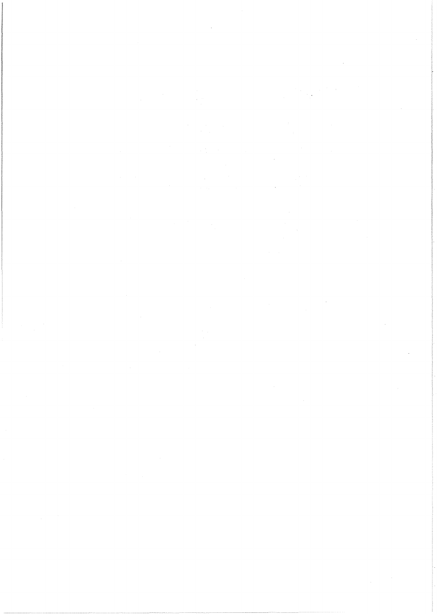$\mathcal{A}^{\mathcal{A}}$ 

 $\label{eq:2.1} \frac{1}{\sqrt{2\pi}}\int_{0}^{\infty} \frac{d\mu}{\sqrt{2\pi}}\left(\frac{d\mu}{\mu}\right)^2\frac{d\mu}{\sqrt{2\pi}}\left(\frac{d\mu}{\mu}\right)^2\frac{d\mu}{\sqrt{2\pi}}\left(\frac{d\mu}{\mu}\right)^2\frac{d\mu}{\sqrt{2\pi}}\left(\frac{d\mu}{\mu}\right)^2.$  $\sim 10^7$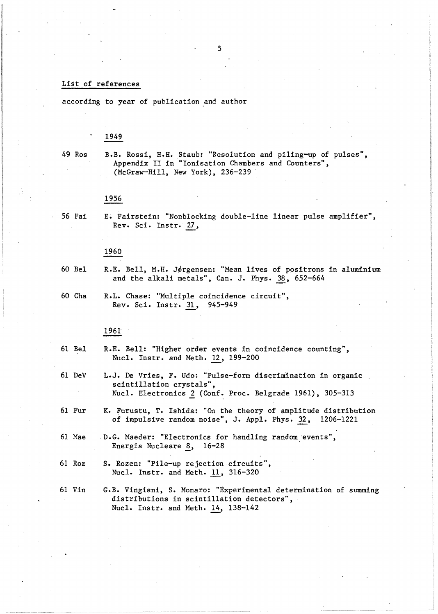## List of references

according to year of publication and author

## 1949

49 Ros

B.B. Rossi, H.H. Staub: "Resolution and piling-up of pulses", Appendix II in "Ionisation Chambers and Counters", (McGraw-Hill, New York), 236-239

## 1956

56 Fai E. Fairstein: "Nonblocking double-line linear pulse amplifier", Rev. Sci. Instr. 27,

## 1960

- 60 Bel R.E. Bell, M.H. J6rgensen: "Mean lives of positrons in aluminium and the alkali metals", Can. J. Phys.  $38$ , 652-664
- 60 Cha R.L. Chase: "Multiple coincidence circuit", Rev. Sci. Instr. 31, 945-949

- 61 Bel R.E. Bell: "Higher order events in coincidence counting", Nucl. Instr. and Meth. 12, 199-200
- 61 DeV L.J. De Vries, F. Udo: "Pulse-form discrimination in organic scintillation crystals", Nucl. Electronics 2 (Conf. Proc. Belgrade 1961), 305-313
- 61 Fur K. Furustu, T. Ishida: "On the theory of amplitude distribution of impulsive random noise", J. Appl. Phys. 32, 1206-1221
- 61 Mae D.G. Maeder: "Electronics for handling random "events" , Energia Nucleare  $8, 16-28$
- 61 Roz S. Rozen: "Pile-up rejection circuits", Nucl. Instr. and Meth. 11, 316-320
- 61 Vin G.B. Vingiani, S. Monaro: "Experimental determination of summing distributions in scintillation detectors", Nucl. Instr. and Meth. 14, 138-142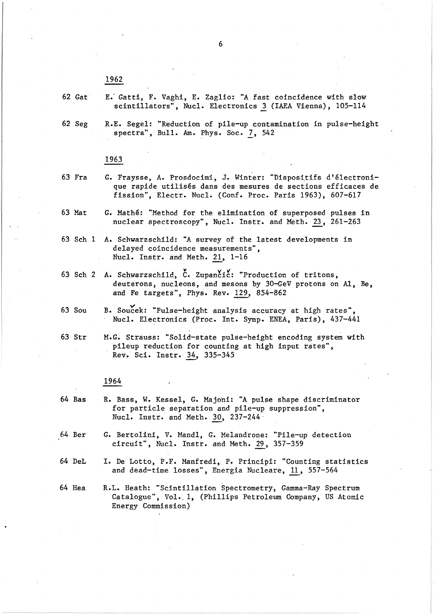| 62 Gat |  | E. Gatti, F. Vaghi, E. Zaglio: "A fast coincidence with slow |
|--------|--|--------------------------------------------------------------|
|        |  | scintillators", Nucl. Electronics 3 (IAEA Vienna), 105-114   |

62 Seg R.E. Segel: "Reduction of pile-up contamination in pulse-height spectra", Bull. Am. Phys. Soc. 7, 542

## 1963

- 63 Fra G. Fraysse, A. Prosdocimi, J. Winter: "Dispositifs d'€lectronique rapide utilis€s dans des mesures de sections efficaces de fission", Electr. Nucl. (Conf. Proc. Paris 1963), 607-617
- 63 Mat G. Math€: "Method for the elimination of superposed pulses in nuclear spectroscopy", Nucl. Instr. and Meth. 23, 261-263
- 63 Sch 1 A. Schwarzschild: "A survey of the latest developments in delayed coincidence measurements", Nucl. Instr. and Meth. 21, 1-16
- 63 Sch 2 A. Schwarzschild,  $\zeta$ . Zupančič: "Production of tritons, deuterons, nucleons, and mesons by 30-GeV protons on AI, Be, and Fe targets", Phys. Rev. 129, 854-862
- 63 Sou B. Soucek: "Pulse-height analysis accuracy at high rates" Nucl. Electronics (Proc. Int. Symp. ENEA, Paris), 437-441
- 63 Str M.G. Strauss: "Solid-state pulse-height encoding system with pileup reduction for counting at high input rates", Rev. Sci. Instr. 34, 335-345

- 64 Bas R. Bass, W. Kessel, G. Majoni: "A pulse shape discriminator for particle separation and pile-up suppression", Nucl. Instr. and Meth.  $30, 237-244$
- 64 Ber G. Bertolini, V. Mandl, G. Melandrone: "Pile-up detection  $circuit", Nucl. Instr. and Meth. 29, 357-359$
- 64 DeL 1. De Lotto, P.F. Manfredi, P. Principi: "Counting statistics and dead-time losses", Energia Nucleare,  $11$ , 557-564
- 64 Hea R.L. Heath: "Scintillation Spectrometry, Gamma-Ray Spectrum Catalogue", Vol. 1, (Phillips Petroleum Company, US Atomic Energy Commission)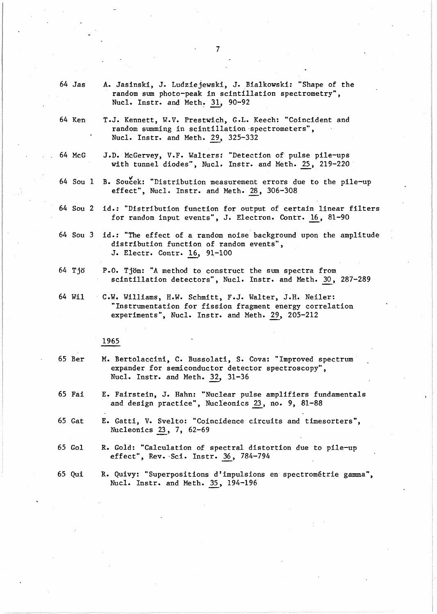|  | 64 Jas     | A. Jasinski, J. Ludziejewski, J. Bialkowski: "Shape of the<br>random sum photo-peak in scintillation spectrometry",<br>Nucl. Instr. and Meth. 31, 90-92                |
|--|------------|------------------------------------------------------------------------------------------------------------------------------------------------------------------------|
|  | 64 Ken     | T.J. Kennett, W.V. Prestwich, G.L. Keech: "Coincident and<br>random summing in scintillation spectrometers",<br>Nucl. Instr. and Meth. 29, 325-332                     |
|  | 64 McG     | J.D. McGervey, V.F. Walters: "Detection of pulse pile-ups<br>with tunnel diodes", Nucl. Instr. and Meth. 25, 219-220                                                   |
|  | 64 Sou 1   | B. Soucek: "Distribution measurement errors due to the pile-up<br>effect", Nucl. Instr. and Meth. 28, 306-308                                                          |
|  | $64$ Sou 2 | id.: "Distribution function for output of certain linear filters<br>for random input events", J. Electron. Contr. 16, 81-90                                            |
|  |            | 64 Sou 3 id.: "The effect of a random noise background upon the amplitude<br>distribution function of random events",<br>J. Electr. Contr. 16, 91-100                  |
|  | 64 Tjö     | P.O. Tjöm: "A method to construct the sum spectra from<br>scintillation detectors", Nucl. Instr. and Meth. 30, 287-289                                                 |
|  | 64 Wil     | C.W. Williams, H.W. Schmitt, F.J. Walter, J.H. Neiler:<br>"Instrumentation for fission fragment energy correlation<br>experiments", Nucl. Instr. and Meth. 29, 205-212 |
|  |            | 1965                                                                                                                                                                   |
|  | 65 Ber     | M. Bertolaccini, C. Bussolati, S. Cova: "Improved spectrum<br>expander for semiconductor detector spectroscopy",<br>Nucl. Instr. and Meth. 32, 31-36                   |
|  | 65 Fai     | E. Fairstein, J. Hahn: "Nuclear pulse amplifiers fundamentals<br>and design practice", Nucleonics 23, no. 9, 81-88                                                     |
|  | 65 Gat     | E. Gatti, V. Svelto: "Coincidence circuits and timesorters",<br>Nucleonics 23, 7, 62-69                                                                                |
|  | 65 Gol     | R. Gold: "Calculation of spectral distortion due to pile-up<br>Port Soi Tooty 36 78/-70/<br>$\lambda$ ff $\lambda$ $\lambda$ +"                                        |

effect", Rev. Sci. Instr. 36, 784-794

65 Qui R. Quivy: "Superpositions d'impulsions en spectrométrie gamma", Nucl. Instr. and Meth. 35, 194-196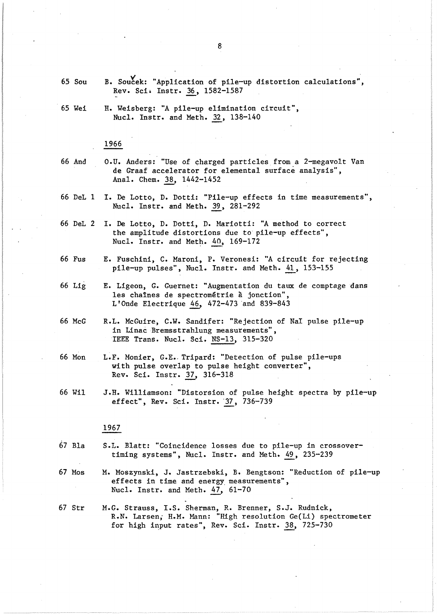| 65 Sou        | B. Soucek: "Application of pile-up distortion calculations",<br>Rev. Sci. Instr. 36, 1582-1587                                                                               |
|---------------|------------------------------------------------------------------------------------------------------------------------------------------------------------------------------|
| <b>65 Wei</b> | H. Weisberg: "A pile-up elimination circuit",<br>Nucl. Instr. and Meth. 32, 138-140                                                                                          |
|               | 1966                                                                                                                                                                         |
| 66 And        | 0.U. Anders: "Use of charged particles from a 2-megavolt Van<br>de Graaf accelerator for elemental surface analysis",<br>Anal. Chem. 38, 1442-1452                           |
| 66 DeL 1      | I. De Lotto, D. Dotti: "Pile-up effects in time measurements",<br>Nucl. Instr. and Meth. 39, 281-292                                                                         |
| 66 DeL 2      | I. De Lotto, D. Dotti, D. Mariotti: "A method to correct<br>the amplitude distortions due to pile-up effects",<br>Nucl. Instr. and Meth. 40, 169-172                         |
| 66 Fus        | E. Fuschini, C. Maroni, P. Veronesi: "A circuit for rejecting<br>pile-up pulses", Nucl. Instr. and Meth. 41, 153-155                                                         |
| $66$ Lig      | E. Ligeon, G. Guernet: "Augmentation du taux de comptage dans<br>les chaînes de spectrométrie à jonction",<br>L'Onde Electrique 46, 472-473 and 839-843                      |
| 66 McG        | R.L. McGuire, C.W. Sandifer: "Rejection of Nal pulse pile-up<br>in Linac Bremsstrahlung measurements",<br>IEEE Trans. Nucl. Sci. NS-13, 315-320                              |
| 66 Mon        | L.F. Monier, G.E. Tripard: "Detection of pulse pile-ups<br>with pulse overlap to pulse height converter",<br>Rev. Sci. Instr. 37, 316-318                                    |
| 66 Wil        | J.H. Williamson: "Distorsion of pulse height spectra by pile-up<br>effect", Rev. Sci. Instr. 37, 736-739                                                                     |
|               | 1967                                                                                                                                                                         |
| 67 Bla        | S.L. Blatt: "Coincidence losses due to pile-up in crossover-<br>timing systems", Nucl. Instr. and Meth. 49, 235-239                                                          |
| 67 Mos        | M. Moszynski, J. Jastrzebski, B. Bengtson: "Reduction of pile-up<br>effects in time and energy measurements",<br>Nucl. Instr. and Meth. 47, 61-70                            |
| 67 Str        | M.G. Strauss, I.S. Sherman, R. Brenner, S.J. Rudnick,<br>R.N. Larsen, H.M. Mann: "High resolution Ge(Li) spectrometer<br>for high input rates", Rev. Sci. Instr. 38, 725-730 |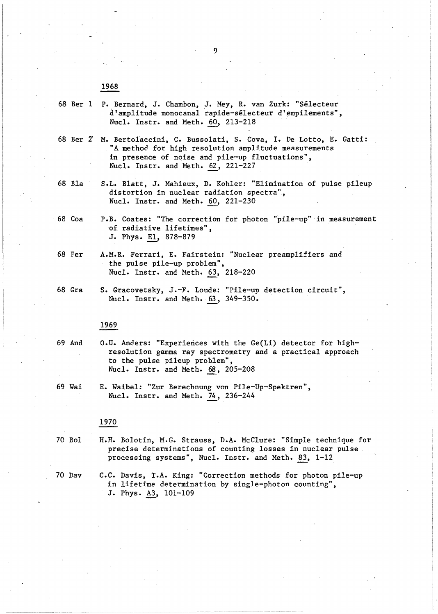- 68 Ber 1 P. Bernard, J. Chambon, J. Mey, R. van Zurk: "Sélecteur d'amplitude monocanal rapide-selecteur d'empilements", Nucl. Instr. and Meth. 60, 213-218
- 68 Ber 2' M. Bertolaccini, C. Bussolati, S. Cova, 1. De Lotto, E. Gatti: "A method for high resolution amplitude measurements in presence of noise and pile-up fluctuations", Nucl. Instr. and Meth. 62, 221-227
- 68 Bla S.L. Blatt, J. Mahieux, D. Kohler: "Elimination of pulse pileup distortion in nuclear radiation spectra", Nucl. Instr. and Meth. 60, 221-230
- 68 Coa P.B. Coates: "The correction for photon "pile-up" in measurement of radiative lifetimes", J. Phys. E1, 878-879
- 68 Fer A.M.R. Ferrari, E. Fairstein: "Nuclear preamplifiers and the pulse pile-up problem", Nucl. Instr. and Meth. 63, 218-220
- 68 Gra S. Gracovetsky, J.-F. Loude: "Pile-up detection circuit", Nucl. Instr. and Meth. 63, 349-350.

- 69 And O.U. Anders: "Experiences with the Ge(Li) detector for highresolution gamma ray spectrometry and a practical approach to the pulse pileup problem", Nucl. Instr. and Meth. 68, 205-208
- 69 Wai E. Waibel: "Zur Berechnung von Pile-Up-Spektren", Nucl. Instr. and Meth. 74, 236-244

- 70 Bol H.H. Bolotin, M.G. Strauss, D.A. McClure: "Simple technique for precise determinations of counting losses in nuclear pulse processing systems", Nucl. Instr. and Meth. 83, 1-12
- 70 Dav
- C.C. Davis, T.A. King: "Correction methods for photon pile-up in lifetime determination by single-photon counting", J. Phys. A3, 101-109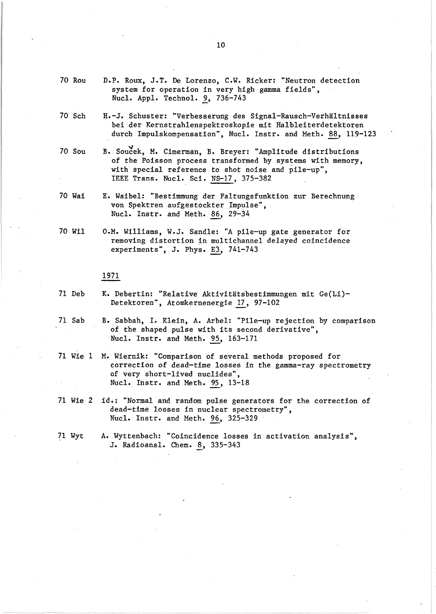- 70 Rou D.P. Roux, J.T. De Lorenzo, C.W. Ricker: "Neutron detection system for operation in very high gamma fields", Nucl. Appl. Technol. 9, 736-743
- 70 Sch H.-J. Schuster: "Verbesserung des Signal-Rausch-Verhaltnisses bei der Kernstrahlenspektroskopie mit Halbleiterdetektoren durch Impulskompensation", Nucl. Instr. and Meth. 88, 119-123
- 70 Sou B. Soucek, M. Cimerman, B. Breyer: "Amplitude distributions of the Poisson process transformed by systems with memory, with special reference to shot noise and pile-up", IEEE Trans. Nucl. Sci. NS-17, 375-382
- 70 Wai E. Waibel: "Bestimmung der Faltungsfunktion zur Berechnung von Spektren aufgestockter Impulse", Nucl. Instr. and Meth. 86, 29-34
- 70 Wil O~M. Williams, W.J. Sandle: "A pile-up gate generator for removing distortion in multichannel delayed coincidence experiments", J. Phys. E3, 741-743

- 71 Deb K. Debertin: "Relative Aktivitatsbestimmungen mit Ge(Li)- Detektoren", Atomkernenergie 17, 97-102
- 71 Sab B. Sabbah, I. Klein, A. Arbel: "Pile-up rejection by comparison of the shaped pulse with its second derivative", Nucl. Instr. and Meth. 95, 163-171
- 71 Wie 1 M. Wiernik: "Comparison of several methods proposed for correction of dead-time losses in the gamma-ray spectrometry of very short-lived nuclides", Nucl. Instr. and Meth. 95, 13-18
- 71 Wie 2 id.: "Normal and random pulse generators for the correction of dead-time losses in nuclear spectrometry", Nucl. Instr. and Meth. 96, 325-329
- 71 Wyt A. Wyttenbach: "Coincidence losses in activation analysis", J. Radioanal. Chem. 8, 335-343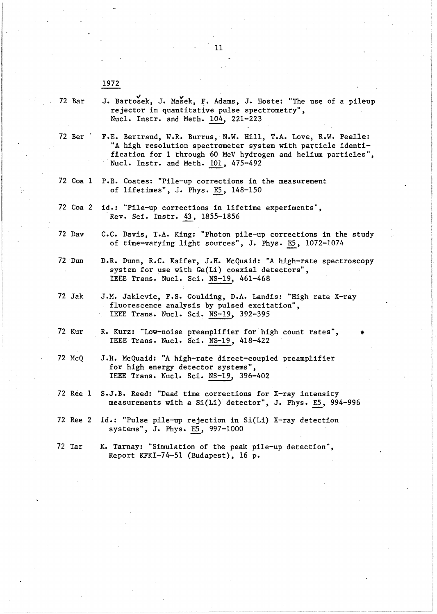- 72 Bar J. Bartosek, J. Masek, F. Adams, J. Hoste: "The use of a pileup rejector in quantitative pulse spectrometry", Nucl. Instr. and Meth. 104, 221-223
- 

72 Ber' F.E. Bertrand, W.R. Burrus, N.W. Hill, T.A. Love, R.W. Peelle: "A high resolution spectrometer system with particle identification for 1 through 60 MeV hydrogen and helium particles", Nucl. Instr. and Meth. 101, 475-492

- 72 Coa 1 P.B. Coates: "Pile-up corrections in the measurement of lifetimes", J. Phys. E5, 148-150
- 72 Coa 2 id.: "Pile-up corrections in lifetime experiments", Rev. Sci. Instr. 43, 1855-1856
- 72 Dav C.C. Davis, T.A. King: "Photon pile-up corrections in the study of time-varying light sources", J. Phys. E5, 1072-1074
- 72 Dun D.R. Dunn, R.C. Kaifer, J.H. McQuaid: "A high-rate spectroscopy system for use with Ge(Li) coaxial detectors", IEEE Trans. Nucl. Sci. NS-19, 461-468
- 72 Jak J.M. Jaklevic, F.S. Goulding, D.A. Landis: "High rate X-ray fluorescence analysis by pulsed excitation", IEEE Trans. Nucl. Sci. NS-19, 392-395
- 72 Kur R. Kurz: "Low-noise preamplifier for high count rates", IEEE Trans. Nucl. Sci. NS-19, 418-422
- 72 McQ J .H. McQuaid: "A high-rate direct-coupled preamplifier for high energy detector systems", IEEE Trans. Nucl. Sci. NS-19, 396-402
- 72 Ree 1 S.J.B. Reed: "Dead time corrections for X-ray intensity measurements with a Si(Li) detector", J. Phys. E5, 994-996
- 72 Ree 2 id.: "Pulse pile-up rejection in 8i(Li) X-ray detection systems", J. Phys. E5, 997-1000
- 72 Tar K. Tarnay: "Simulation of the peak pile-up detection", Report KFKI-74-S1 (Budapest), 16 p.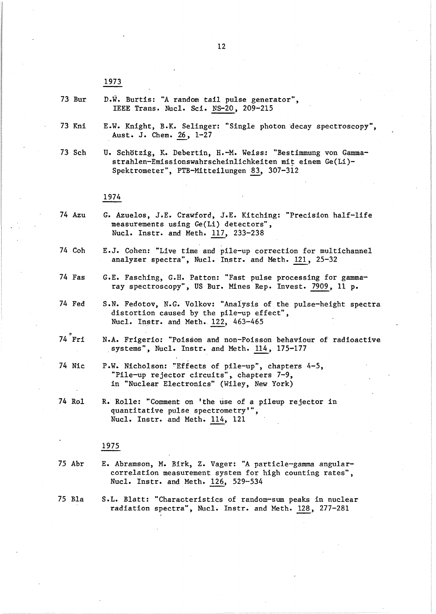- 1973
- 73 Bur D.W. Burtis: "A random tail pulse generator", IEEE Trans. Nucl. Sci. NS-20, 209-215
- 73 Kni E.W. Knight, B.K. Selinger: "Single photon decay spectroscopy", Aust. J. Chem. 26, 1-27
- 73 Sch U. Schötzig, K. Debertin, H.-M. Weiss: "Bestimmung von Gammastrahlen-Emissionswahrscheinlichkeiten mit einem Ge(Li)- Spektrometer", PTB-Mitteilungen 83, 307-312

- 74 Azu G. Azuelos, J.E. Crawford, J.E. Kitching: "Precision half-life measurements using Ge(Li) detectors", Nucl. Instr. and Meth. 117, 233-238
- 74 Coh E.J. Cohen: "Live time and pile-up correction for multichannel analyzer spectra", Nucl. Instr. and Meth. 121, 25-32
- 74 Fas G.E. Fasching, G.H. Patton: "Fast pulse processing for gammaray spectroscopy", US Bur. Mines Rep. Invest. 7909, 11 p.
- 74 Fed S.N. Fedotov, N.G. Volkov: "Analysis of the pulse-height spectra distortion caused by the pile-up effect", Nucl. Instr. and Meth. 122, 463-465
- $74$   $Fri$ N.A. Frigerio: "Poisson and non-Poisson behaviour of radioactive systems", Nucl. Instr. and Meth. 114, 175-177
- 74 Nic P.W. Nicholson: "Effects of pile-up", chapters 4-5, "Pile-up rejector circuits", chapters 7-9, in "Nuclear Electronics" (Wiley, New York)
- 74 Rol R. Rolle: "Comment on 'the use of a pileup rejector in quantitative pulse spectrometry''', Nucl. Instr. and Meth. 114, 121

- 75 Abr
- E. Abramson, M. Birk, Z. Vager: "A particle-gamma angularcorrelation measurement system for high counting rates", Nucl. Instr. and Meth. 126, 529-534
- 75 Bla S.L. Blatt: "Characteristics of random-sum peaks in nuclear radiation spectra", Nucl. Instr. and Meth. 128, 277-281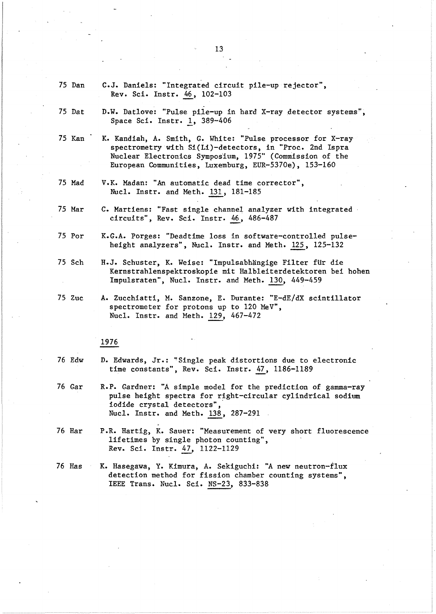| 75 Dan   | C.J. Daniels: "Integrated circuit pile-up rejector",<br>Rev. Sci. Instr. 46, 102-103                                                                                                                                                     |
|----------|------------------------------------------------------------------------------------------------------------------------------------------------------------------------------------------------------------------------------------------|
| 75 Dat   | D.W. Datlove: "Pulse pile-up in hard X-ray detector systems",<br>Space Sci. Instr. 1, 389-406                                                                                                                                            |
| 75 Kan   | K. Kandiah, A. Smith, G. White: "Pulse processor for X-ray<br>spectrometry with Si(Li)-detectors, in "Proc. 2nd Ispra<br>Nuclear Electronics Symposium, 1975" (Commission of the<br>European Communities, Luxemburg, EUR-5370e), 153-160 |
| 75 Mad   | V.K. Madan: "An automatic dead time corrector",<br>Nucl. Instr. and Meth. 131, 181-185                                                                                                                                                   |
| 75 Mar   | C. Martiens: "Fast single channel analyzer with integrated<br>circuits", Rev. Sci. Instr. 46, 486-487                                                                                                                                    |
| 75 Por   | K.G.A. Porges: "Deadtime loss in software-controlled pulse-<br>height analyzers", Nucl. Instr. and Meth. 125, 125-132                                                                                                                    |
| 75 Sch   | H.J. Schuster, K. Weise: "Impulsabhängige Filter für die<br>Kernstrahlenspektroskopie mit Halbleiterdetektoren bei hohen<br>Impulsraten", Nucl. Instr. and Meth. 130, 449-459                                                            |
| $75$ Zuc | A. Zucchiatti, M. Sanzone, E. Durante: "E-dE/dX scintillator<br>spectrometer for protons up to 120 MeV",<br>Nucl. Instr. and Meth. 129, 467-472                                                                                          |
|          | 1976                                                                                                                                                                                                                                     |
| 76 Edw   | D. Edwards, Jr.: "Single peak distortions due to electronic<br>time constants", Rev. Sci. Instr. 47, 1186-1189                                                                                                                           |
| 76 Gar   | R.P. Gardner: "A simple model for the prediction of gamma-ray<br>pulse height spectra for right-circular cylindrical sodium<br>iodide crystal detectors",<br>Nucl. Instr. and Meth. 138, 287-291                                         |
| 76 Har   | P.R. Hartig, K. Sauer: "Measurement of very short fluorescence<br>lifetimes by single photon counting",<br>Rev. Sci. Instr. 47, 1122-1129                                                                                                |
| 76 Has   | K. Hasegawa, Y. Kimura, A. Sekiguchi: "A new neutron-flux<br>detection method for fission chamber counting systems",<br>IEEE Trans. Nucl. Sci. NS-23, 833-838                                                                            |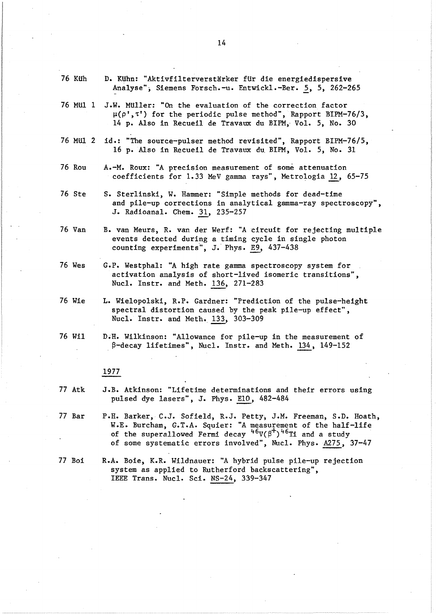76 Kuh D. Kuhn: "Aktivfilterverstarker fur die energiedispersive Analyse", Siemens Forsch.-u. Entwickl.-Ber. 5, 5, 262-265 76 Mul 1 J.W. Muller: "On the evaluation of the correction factor  $\mu(\rho', \tau')$  for the periodic pulse method", Rapport BIPM-76/3, 14 p. Also in Recueil de Travaux du BIPM,. Vol. 5, No. 30 76 MUl 2 id.: "The source-pulser method revisited", Rapport BIPM-76/5, 16 p. Also in Recueil de Travaux du BIPM, Vol. 5, No. 31 76 Rou A.-M. Roux: HA precision measurement of some attenuation 76 Ste 76 Van 76 Wes 76 Wie 76 Wil 77 Atk coefficients for 1.33 MeV gamma rays", Metrologia 12, 65-75 S. Sterlinski, W. Hammer: "Simple methods for dead-time and pile-up corrections in analytical gamma-ray spectroscopy", J. Radioanal. Chem. 31, 235-257 B. van Meurs, R. van der Werf: "A circuit for rejecting multiple events detected during a timing cycle in single photon counting experiments", J. Phys. E9, 437-438 G.P. Westphal: "A high rate gamma spectroscopy system for activation analysis of short-lived isomeric transitions", Nucl. Instr. and Meth. 136, 271-283 L. Wielopolski, R.P. Gardner: "Prediction of the pulse-height spectral distortion caused by the peak pile-up effect", Nucl. Instr. and Meth. 133, 303-309 D.H. Wilkinson: "Allowance for pile-up in the measurement of  $\beta$ -decay lifetimes", Nucl. Instr. and Meth. 134, 149-152 1977 J.B. Atkinson: "Lifetime determinations and their errors using pulsed dye lasers", J. Phys. ElO, 482-484

77 Bar P.H. Barker, C.J. Sofield, R.J. Petty, J.M. Freeman, S.D. Hoath, W.E. Burcham, G.T.A. Squier: "A measurement of the half-life of the superallowed Fermi decay  $46V(\beta^+)^{46}$ Ti and a study of some systematic errors involved", Nucl. Phys. A275, 37-47

77 Boi R.A. Boie, K.R. Wildnauer: "A hybrid pulse pile-up rejection system as applied to Rutherford backscattering", IEEE Trans. Nucl. Sci. NS-24, 339-347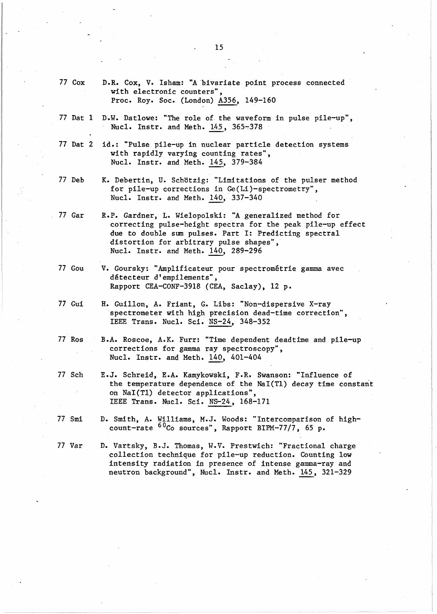- 77 Cox D.R. Cox, V. lsham: "A "bivariate point process connected with electronic counters", Proc. Roy. Soc. (London) A356, 149-160
- 77 Dat 1 D.W. Datlowe: "The role of the waveform in pulse pile-up", Nucl. lnstr. and Meth. 145, 365~378
- 77 Dat 2 id.: "Pulse pile-up in nuclear particle detection systems with rapidly varying counting rates", Nucl. Instr. and Meth. 145, 379-384
- 77 Deb K. Debertin, U. Schotzig: "Limitations of the pulser method for pile-up corrections in Ge(Li)-spectrometry", Nucl. lnstr. and Meth. 140, 337-340
- 77 Gar R.P. Gardner, L. Wielopolski: "A generalized method for correcting pulse-height spectra for the peak pile-up effect due to double sum pulses. Part l: Predicting spectral distortion for arbitrary pulse shapes", Nucl. Instr. and Meth. 140, 289-296
- 77 Gou V. Goursky: "Amplificateur pour spectrométrie gamma avec detecteur d'empilements", Rapport CEA-CONF-3918 (CEA, Saclay), 12 p.
- 77 Gui H. Guillon, A. Friant, G. Libs: "Non-dispersive X-ray spectrometer with high precision dead-time correction", IEEE Trans. Nucl. Sci. NS-24, 348~352
- 77 Ros B.A. Roscoe, A.K. Furr: "Time dependent deadtime and pile-up corrections for gamma ray spectroscopy", Nucl. Instr. and Meth. 140, 401-404
- 77 Sch E.J. Schreid, E.A. Kamykowski, F.R. Swanson: "Influence of the temperature dependence of the NaI(Tl) decay time constant on NaI(TI) detector applications", IEEE Trans. Nucl. Sci. NS-24, 168-171
- 77 Smi D. Smith, A. Williams, M.J. Woods: "Intercomparison of highcount-rate <sup>60</sup>Co sources", Rapport BIPM-77/7, 65 p.
- 77 Var D. Vartsky, B.J. Thomas, W.V. Prestwich: "Fractional charge collection technique for pile-up reduction. Counting low intensity radiation in presence of intense gamma-ray and neutron background", Nucl. Instr. and Meth. 145, 321-329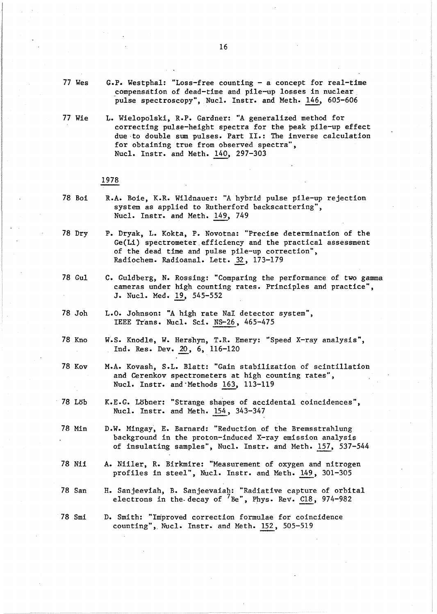- 77 Wes
- G.P. Westpha1: "Loss-free counting a concept for real-time compensation of dead-time and pile-up losses in nuclear pulse spectroscopy", Nucl. Instr. and Meth. 146, 605-606
- 77 Wie L. Wielopolski, R.P. Gardner: "A generalized method for correcting pulse-height spectra for the peak pile-up effect due ·to double sum pulses. Part 11.: The inverse calculation for obtaining true from observed spectra", Nuc1. Instr. and Meth. 140, 297-303
	- 1978
- 78 Boi R.A. Boie, K.R. Wildnauer: "A hybrid pulse pile-up rejection system as applied to Rutherford backscattering", Nuc1. Instr. and Meth. 149, 749
- 78 Dry P. Dryak, L. Kokta, P. Novotna: "Precise determination of the Ge(Li) spectrometer.efficiency and the practical assessment of the dead time and pulse pile-up correction", Radiochem. Radioanal. Lett. 32, 173-179
- 78 Gu1 C. Gu1dberg, N. Rossing: "Comparing the performance of two gamma cameras under high counting rates. Principles and practice", J. Nucl. Med. 19, 545-552
- 78 Joh L.O. Johnson: "A high rate NaI detector system", IEEE Trans. Nucl. Sci. NS-26, 465-475
- 78 Kno W.S. Knod1e, W. Hersbyn, T.R. Emery: "Speed X-ray analysis", Ind. Res. Dev. 20, 6, 116-120
- 78 Kov M.A. Kovash, S.L. B1att: "Gain stabilization of scintillation and Cerenkov spectrometers at high counting rates", Nuc1. Instr. and "Methods 163, 113-119
- 78 Löb K.E.G. Lobner: "Strange shapes of accidental coincidences", Nuc1. Instr. and Meth. 154, 343-347
- 78 Min D.W. Mingay, E. Barnard: "Reduction of the Bremsstrahlung background in the proton-induced X-ray emission analysis of insulating samples", Nuc1. Instr. and Meth. 157, 537-544
- 78 Ni! A. Niiler, R. Birkmire: "Measurement of oxygen and nitrogen profiles in steel", Nucl. Instr. and Meth. 149, 301-305
- 78 San H. Sanjeeviah, B. Sanjeevaiah: "Radiative capture of orbital electrons in the decay of  $78e$ , Phys. Rev. C18, 974-982

78 Smi D. Smith: "Improved correction formulae for coincidence counting", Nucl. Instr. and Meth. 152, 505-519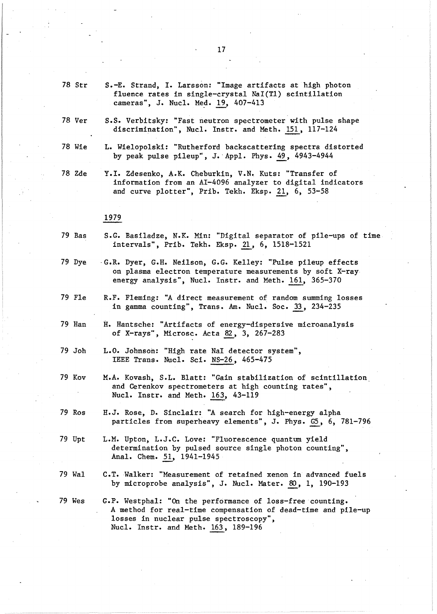| S.-E. Strand, I. Larsson: "Image artifacts at high photon<br>fluence rates in single-crystal NaI(T1) scintillation<br>cameras", J. Nucl. Med. 19, 407-413 |
|-----------------------------------------------------------------------------------------------------------------------------------------------------------|
| S.S. Verbitsky: "Fast neutron spectrometer with pulse shape<br>discrimination", Nucl. Instr. and Meth. 151, 117-124                                       |
| L. Wielopolski: "Rutherford backscattering spectra distorted<br>by peak pulse pileup", J. Appl. Phys. 49, 4943-4944                                       |

78 Zde Y.I. Zdesenko, A.K. Cheburkin, V.N. Kuts: "Transfer of information from an AI-4096 analyzer to digital indicators and curve plotter", Prib. Tekh. Eksp. 21, 6, 53-58

## 1979

78 Str

78 Ver

78 Wie

- 79 Bas S.G. Basiladze, N.K. Min: "Digital separator of pile-ups of time intervals", Prib. Tekh. Eksp. 21, 6, 1518-1521
- 79 Dye -G.R. Dyer, G.H. Neilson, G.G. Kelley: "Pulse pileup effects on plasma electron temperature measurements by soft X-ray energy analysis", Nucl. Instr. and Meth. 161, 365-370
- 79 FIe R.F. F1eming: "A direct measurement of random summing losses in gamma counting", Trans. Am. Nucl. Soc. 33, 234-235
- 79 Han H. Hantsche: "Artifacts of energy-dispersive microana1ysis of X-rays", Microsc. Acta 82, 3, 267-283
- 79 Joh L.O. Johnson: "High rate NaI detector system", IEEE Trans. Nucl. Sci. NS-26, 465-475
- 79 Kov M.A. Kovash, S.L. Blatt: "Gain stabilization of scintillation and Cerenkov spectrometers at high counting rates", Nucl. Instr. and Meth. 163, 43-119
- 79 Ros H.J. Rose, D. Sinclair: "A search for high-energy alpha particles from superheavy elements", J. Phys. G5, 6, 781-796
- 79 Upt L.M. Upton, L.J.C. Love: "Fluorescence quantum yield determination by pulsed source single photon counting", Anal. Chem. 51, 1941-1945
- 79 Wal C.T. Walker: "Measurement of retained xenon in advanced fuels by microprobe analysis", J. Nucl. Mater. 80, 1, 190-193
- 79 Wes G.P. Westphal: "On the performance of loss-free counting. A method for real-time compensation of dead-time and pile-up losses in nuclear pulse spectroscopy", Nucl. Instr. and Meth. 163, 189-196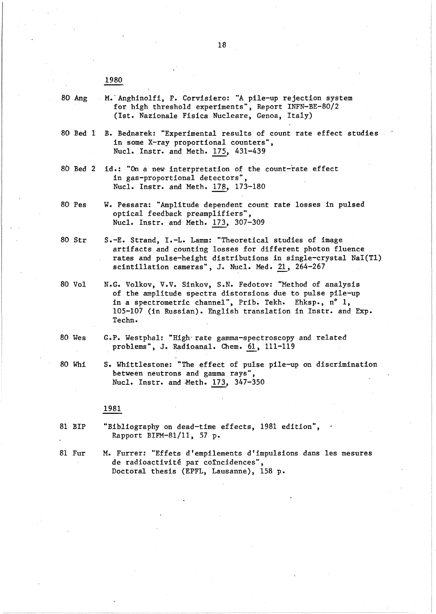- 80 Ang M.-Anghinolfi, P. Corvisiero: "A pile-up rejection system for high threshold experiments", Report INFN-BE-80/2 (1st. Nazionale Fisica Nucleare, Genoa, Italy)
- 80 Bed 1 B. Bednarek: "Experimental results of count rate effect studies in some X-ray proportional counters", Nucl. lnstr. and Meth. 175, 431-439
- 80 Bed 2 id.: "On a new interpretation of the count-rate effect in gas-proportional detectors", Nucl. lnstr. and Meth. 17S, 173-180
- 80 Pes W. Pessara: "Amplitude dependent count rate losses in pulsed optical feedback preamplifiers", Nucl. lnstr. and Meth. 173, 307-309
- 80 Str S.-E. Strand, I.-L. Lamm: "Theoretical studies of image artifacts and counting losses for different photon fluence rates and pulse-height distributions in single-crystal NaI(TI) scintillation cameras", J. Nucl. Med.  $21$ ,  $264-267$
- 80 Vol N.G. Volkov, V.V. Sinkov, S.N. Fedotov: "Method of analysis of the amplitude spectra distorsions due to pulse pile-up in a spectrometric channel", Prib. Tekh. Ehksp.,  $n^o$  1, 105-107 (in Russian). English translation in lnstr. and Exp. Techn.
- 80 Wes G.P. Westphal: "High rate gamma-spectroscopy and related problems", J. Radioanal. Chem. 61, 111-119
- 80 Whi S. Whittlestone: "The effect of pulse pile-up on discrimination between neutrons and gamma rays", Nucl. Instr. and Meth. 173, 347-350

- 81 BlP "Bibliography on dead-time effects, 1981 edition", Rapport BIPM-81/11, 57 p.
- 81 Fur M. Furrer: "Effets d'empilements d'impulsions dans les mesures de radioactivit€ par coIncidences", Doctoral thesis (EPFL, Lausanne), 158 p.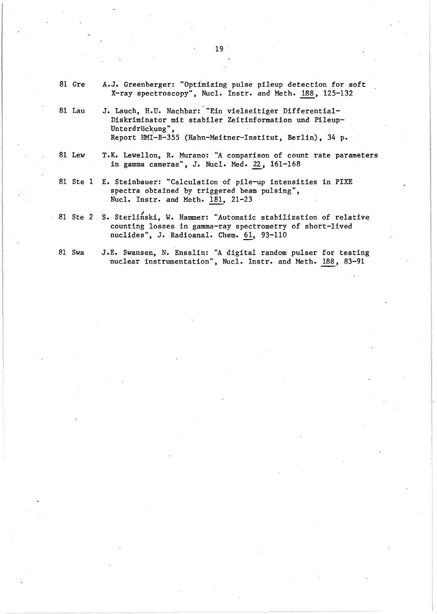- 81 Gre A.J. Greenberger: "Optimizing pulse pileup detection for soft X-ray spectroscopy", Nucl. Instr. and Meth. 188, 125-132
- 81 Lau J. Lauch, H.U. Nachbar: "Ein vielseitiger Differential-Diskriminator mit stabiler Zeitinformation und Pileup-Unterdrückung", Report HMI-B-355 (Hahn-Meitner-Institut, Berlin), 34 p.
- 81 Lew T.K. Lewellon, R. Murano: "A comparison of count rate parameters in gamma cameras", J. Nucl. Med. 22, 161-168
- 81 Ste 1 E. Steinbauer: "Calculation of pile-up intensities in PIXE spectra obtained by triggered beam pulsing", Nucl. Instr. and Meth. 181, 21-23
- 81 Ste 2 S. Sterlinski, W. Hammer: "Automatic stabilization of relative counting losses in gamma-ray spectrometry of short-lived nuclides", J. Radioanal. Chem. 61, 93-110
- 
- 81 Swa J.E. Swansen, N. Ensslin: "A digital random pulser for testing nuclear instrumentation", Nucl. Instr. and Meth. 188, 83-91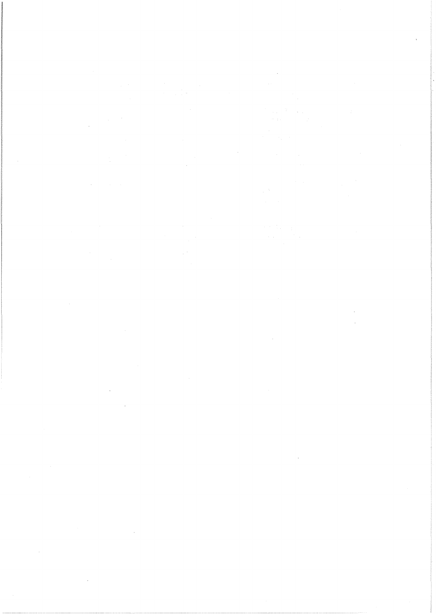$\label{eq:2.1} \frac{1}{2} \sum_{i=1}^n \frac{1}{2} \sum_{j=1}^n \frac{1}{2} \sum_{j=1}^n \frac{1}{2} \sum_{j=1}^n \frac{1}{2} \sum_{j=1}^n \frac{1}{2} \sum_{j=1}^n \frac{1}{2} \sum_{j=1}^n \frac{1}{2} \sum_{j=1}^n \frac{1}{2} \sum_{j=1}^n \frac{1}{2} \sum_{j=1}^n \frac{1}{2} \sum_{j=1}^n \frac{1}{2} \sum_{j=1}^n \frac{1}{2} \sum_{j=1}^n \frac{$  $\label{eq:2} \frac{1}{2}\sum_{i=1}^n\frac{1}{2}\sum_{j=1}^n\frac{1}{2}\sum_{j=1}^n\frac{1}{2}\sum_{j=1}^n\frac{1}{2}\sum_{j=1}^n\frac{1}{2}\sum_{j=1}^n\frac{1}{2}\sum_{j=1}^n\frac{1}{2}\sum_{j=1}^n\frac{1}{2}\sum_{j=1}^n\frac{1}{2}\sum_{j=1}^n\frac{1}{2}\sum_{j=1}^n\frac{1}{2}\sum_{j=1}^n\frac{1}{2}\sum_{j=1}^n\frac{1}{2}\sum_{j=1}^n\frac{$ 

 $\mathcal{L}(\mathcal{L})$  .  $\frac{1}{2}$  ,  $\frac{1}{2}$  ,  $\frac{1}{2}$ 

 $\sim 10^6$ 

 $\mathcal{A}^{\mathcal{A}}$ 

 $\sim$  $\mathcal{L}_{\mathcal{L}}$ 

 $\sim$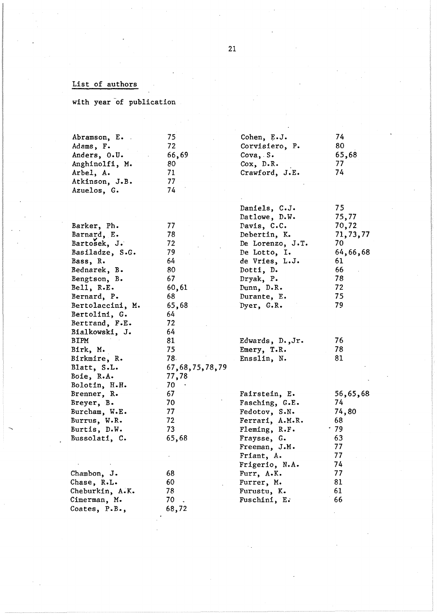# List of authors

with year of publication

| Abramson, E.<br>$\sim$ | 75                 | Cohen, E.J.         | 74       |
|------------------------|--------------------|---------------------|----------|
| Adams, F.              | 72                 | Corvisiero, P.      | 80       |
| Anders, O.U.           | 66,69              | Cova, $S_{\bullet}$ | 65,68    |
| Anghinolfi, M.         | 80                 | $\cos$ , $D-R$ .    | 77       |
| Arbel, A.              | 71                 | Crawford, J.E.      | 74       |
| Atkinson, J.B.         | 77                 |                     |          |
| Azuelos, G.            | 74                 |                     |          |
|                        |                    |                     |          |
|                        |                    | Daniels, C.J.       | 75       |
|                        |                    | Datlowe, D.W.       | 75,77    |
| Barker, Ph.            | 77                 | Davis, C.C.         | 70,72    |
| Barnard, E.            | 78                 | Debertin, K.        | 71,73,77 |
| Bartosek, J.           | 72                 | De Lorenzo, J.T.    | 70       |
| Basiladze, S.G.        | 79                 | De Lotto, I.        | 64,66,68 |
| Bass, R.               | 64                 | de Vries, L.J.      | 61       |
| Bednarek, B.           | 80                 | Dotti, D.           | 66       |
| Bengtson, B.           | 67                 | Dryak, P.           | 78       |
| Bell, $R.E.$           | 60,61              | Dunn, D.R.          | 72       |
| Bernard, P.            | 68                 | Durante, E.         | 75       |
| Bertolaccini, M.       | 65,68              | Dyer, G.R.          | 79       |
| Bertolini, G.          | 64                 |                     |          |
| Bertrand, F.E.         | 72                 |                     |          |
| Bialkowski, J.         | 64                 |                     |          |
| <b>BIPM</b>            | 81                 | Edwards, D., Jr.    | 76       |
| Birk, M.               | 75                 | Emery, T.R.         | 78       |
| Birkmire, R.           | 78.                | Ensslin, N.         | 81       |
| Blatt, S.L.            | 67, 68, 75, 78, 79 |                     |          |
| Boie, R.A.             | 77,78              |                     |          |
| Bolotin, H.H.          | 70                 |                     |          |
| Brenner, R.            | 67                 | Fairstein, E.       | 56,65,68 |
| Breyer, B.             | 70                 | Fasching, G.E.      | 74       |
| Burcham, W.E.          | 77                 | Fedotov, S.N.       | 74,80    |
| Burrus, W.R.           | 72                 | Ferrari, A.M.R.     | 68       |
| Burtis, D.W.           | 73                 | Fleming, R.F.       | .79      |
| Bussolati, C.          | 65,68              | Fraysse, G.         | 63       |
|                        |                    | Freeman, J.M.       | 77       |
|                        |                    | Friant, A.          | 77       |
|                        |                    | Frigerio, N.A.      | 74       |
| Chambon, J.            | 68                 | Furr, A.K.          | 77       |
| Chase, R.L.            | 60                 | Furrer, M.          | 81       |
| Cheburkin, A.K.        | 78                 | Furustu, K.         | 61       |
| Cimerman, M.           | 70                 | Fuschini, E.        | 66       |
| Coates, P.B.,          | 68,72              |                     |          |
|                        |                    |                     |          |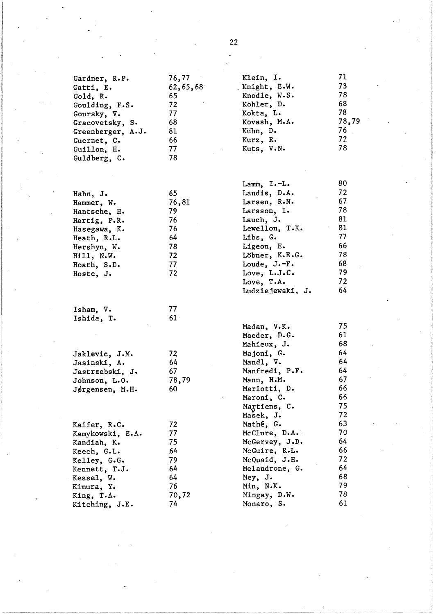| Gardner, R.P.     | 76,77        | Klein, I.        | 71    |
|-------------------|--------------|------------------|-------|
| Gatti, E.         | 62, 65, 68   | Knight, E.W.     | 73    |
| Gold, R.          | 65           | Knodle, W.S.     | 78    |
| Goulding, F.S.    | 72           | Kohler, D.       | 68    |
| Goursky, V.       | 77           | Kokta, L.        | 78    |
| Gracovetsky, S.   | 68           | Kovash, M.A.     | 78,79 |
| Greenberger, A.J. | 81           | Kühn, D.         | 76    |
| Guernet, G.       | 66           | Kurz, R.         | 72    |
| Guillon, H.       | 77           | Kuts, V.N.       | 78    |
| Guldberg, C.      | 78           |                  |       |
|                   |              |                  |       |
|                   |              |                  | 80    |
|                   |              | Lamm, $I.-L.$    |       |
| Hahn, J.          | 65           | Landis, D.A.     | 72    |
| Hammer, W.        | 76,81        | Larsen, R.N.     | 67    |
| Hantsche, H.      | 79           | Larsson, I.      | 78    |
| Hartig, P.R.      | 76           | Lauch, J.        | 81    |
| Hasegawa, K.      | 76           | Lewellon, T.K.   | 81    |
| Heath, R.L.       | $64^{\circ}$ | Libs, G.         | 77    |
| Hershyn, W.       | 78           | Ligeon, E.       | 66    |
| Hill, N.W.        | 72           | Löbner, K.E.G.   | 78    |
| Hoath, S.D.       | 77           | Loude, J.-F.     | 68    |
| Hoste, J.         | 72           | Love, L.J.C.     | 79    |
|                   |              | Love, T.A.       | 72    |
|                   |              | Ludziejewski, J. | 64    |
|                   | 77           |                  |       |
| Isham, V.         | $61 -$       |                  |       |
| Ishida, T.        |              |                  | 75    |
|                   |              | Madan, V.K.      | 61    |
|                   |              | Maeder, D.G.     | 68    |
|                   |              | Mahieux, J.      | 64    |
| Jaklevic, J.M.    | 72           | Majoni, G.       |       |
| Jasinski, A.      | 64           | Mandl, V.        | 64    |
| Jastrzebski, J.   | 67           | Manfredi, P.F.   | 64    |
| Johnson, L.O.     | 78,79        | Mann, H.M.       | 67    |
| Jørgensen, M.H.   | 60           | Mariotti, D.     | 66    |
|                   |              | Maroni, C.       | 66    |
|                   |              | Martiens, C.     | 75    |
|                   |              | Masek, J.        | 72    |
| Kaifer, R.C.      | 72           | Mathé, G.        | 63    |
| Kamykowski, E.A.  | 77           | McClure, $D.A.$  | 70    |
| Kandiah, K.       | 75           | McGervey, J.D.   | 64    |
| Keech, G.L.       | 64           | McGuire, R.L.    | 66    |
| Kelley, G.G.      | 79           | McQuaid, J.H.    | 72    |
| Kennett, T.J.     | 64           | Melandrone, G.   | 64    |
| Kessel, W.        | 64           | Mey, J.          | 68    |
| Kimura, Y.        | 76           | Min, N.K.        | 79    |
| King, T.A.        | 70,72        | Mingay, D.W.     | 78    |
| Kitching, J.E.    | 74           | Monaro, S.       | 61    |
|                   |              |                  |       |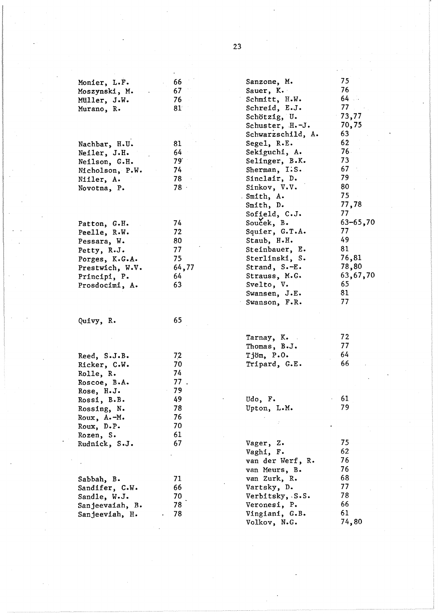| Monier, L.F.    | 66         | Sanzone, M.       | 75           |
|-----------------|------------|-------------------|--------------|
| Moszynski, M.   | 67         | Sauer, K.         | 76           |
| Müller, J.W.    | 76         | Schmitt, H.W.     | $64 -$       |
|                 | $81^\circ$ | Schreid, E.J.     | 77           |
| Murano, R.      |            |                   | 73,77        |
|                 |            | Schötzig, U.      |              |
|                 |            | Schuster, H.-J.   | 70,75        |
|                 |            | Schwarzschild, A. | 63           |
| Nachbar, H.U.   | 81         | Segel, R.E.       | 62           |
| Neiler, J.H.    | 64         | Sekiguchi, A.     | $76 -$       |
| Neilson, G.H.   | 79.        | Selinger, B.K.    | 73           |
|                 | 74         | Sherman, I.S.     | $67 -$       |
| Micholson, P.W. |            |                   | 79           |
| Niiler, A.      | 78         | Sinclair, D.      |              |
| Novotna, P.     | $78 -$     | Sinkov, V.V.      | 80           |
|                 |            | Smith, A.         | 75           |
|                 |            | Smith, D.         | 77,78        |
|                 |            | Sofield, C.J.     | 77           |
|                 | 74         | Souček, B.        | $63 - 65,70$ |
| Patton, G.H.    |            |                   | 77           |
| Peelle, R.W.    | 72         | Squier, G.T.A.    |              |
| Pessara, W.     | 80         | Staub, H.H.       | 49           |
| Petty, R.J.     | 77         | Steinbauer, E.    | 81           |
| Porges, K.G.A.  | 75         | Sterlinski, S.    | 76,81        |
| Prestwich, W.V. | 64,77      | Strand, $S.-E.$   | 78,80        |
| Principi, P.    | 64         | Strauss, M.G.     | 63,67,70     |
|                 | 63         | Svelto, V.        | 65           |
| Prosdocimi, A.  |            |                   | 81           |
|                 |            | Swansen, J.E.     |              |
|                 |            | Swanson, F.R.     | 77           |
|                 |            |                   |              |
| Quivy, R.       | 65         |                   |              |
|                 |            |                   |              |
|                 |            | Tarnay, K.        | 72           |
|                 |            | Thomas, B.J.      | 77           |
|                 | 72         | Tjöm, P.O.        | 64           |
| Reed, S.J.B.    |            |                   | 66           |
| Ricker, C.W.    | 70         | Tripard, G.E.     |              |
| Rolle, R.       | 74         |                   |              |
| Roscoe, B.A.    | 77.        |                   |              |
| Rose, H.J.      | 79         |                   |              |
| Rossi, B.B.     | 49         | Udo, F.           | 61           |
| Rossing, N.     | 78         | Upton, L.M.       | 79           |
| Roux, A.-M.     | 76         |                   |              |
|                 | 70         |                   |              |
| Roux, D.P.      |            |                   |              |
| Rozen, S.       | 61         |                   |              |
| Rudnick, S.J.   | 67         | Vager, Z.         | 75           |
|                 |            | Vaghi, F.         | 62           |
|                 |            | van der Werf, R.  | 76           |
|                 |            | van Meurs, B.     | 76           |
|                 | 71         | van Zurk, R.      | 68           |
| Sabbah, B.      |            |                   | 77           |
| Sandifer, C.W.  | 66         | Vartsky, D.       |              |
| Sandle, W.J.    | 70         | Verbitsky, S.S.   | 78           |
| Sanjeevaiah, B. | 78         | Veronesi, P.      | 66           |
| Sanjeeviah, H.  | 78         | Vingiani, G.B.    | 61           |
|                 |            |                   |              |